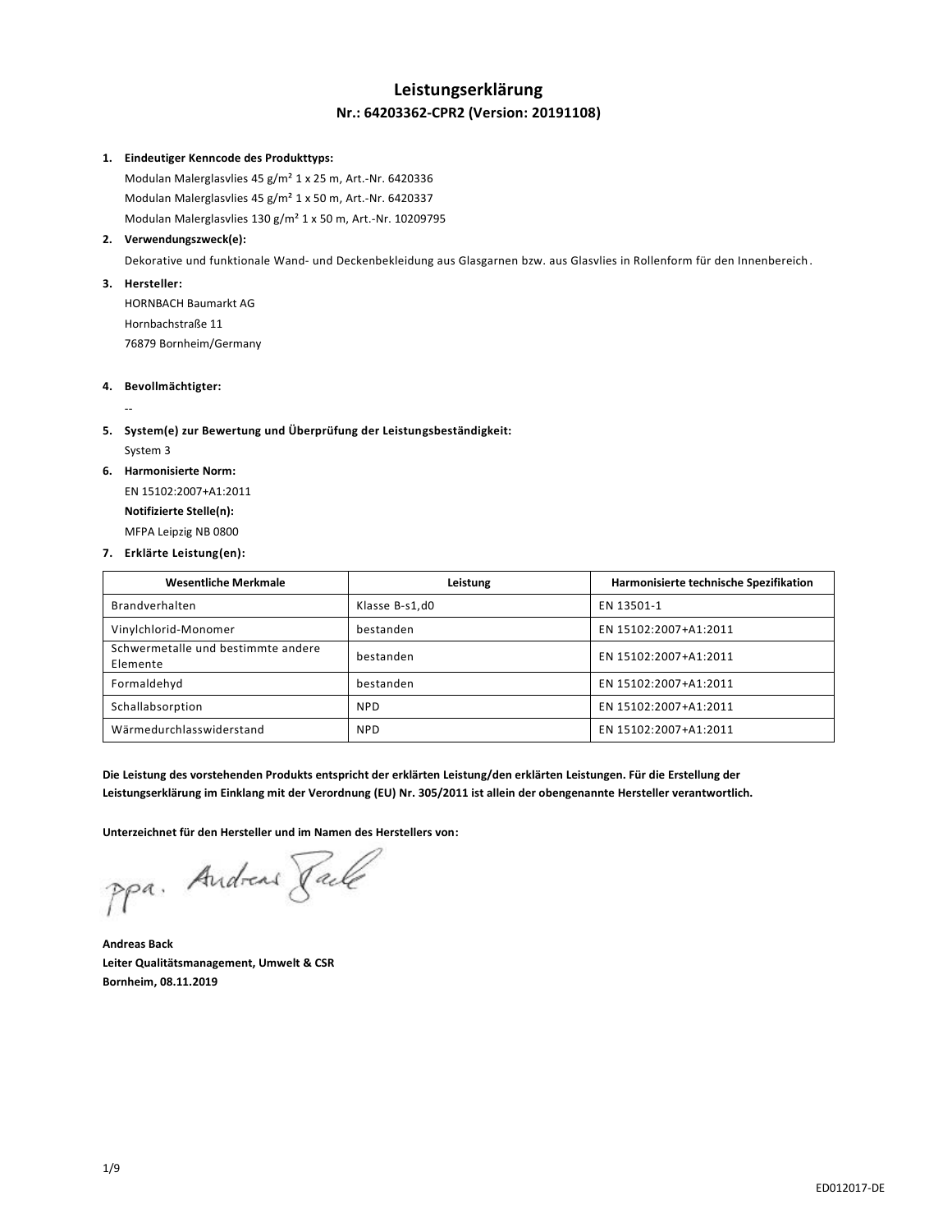# **Leistungserklärung Nr.: 64203362-CPR2 (Version: 20191108)**

#### **1. Eindeutiger Kenncode des Produkttyps:**

Modulan Malerglasvlies 45 g/m² 1 x 25 m, Art.-Nr. 6420336 Modulan Malerglasvlies 45 g/m² 1 x 50 m, Art.-Nr. 6420337 Modulan Malerglasvlies 130 g/m² 1 x 50 m, Art.-Nr. 10209795

# **2. Verwendungszweck(e):**

Dekorative und funktionale Wand- und Deckenbekleidung aus Glasgarnen bzw. aus Glasvlies in Rollenform für den Innenbereich.

#### **3. Hersteller:**

HORNBACH Baumarkt AG Hornbachstraße 11 76879 Bornheim/Germany

## **4. Bevollmächtigter:**

# **5. System(e) zur Bewertung und Überprüfung der Leistungsbeständigkeit:**

System 3

--

# **6. Harmonisierte Norm:**

EN 15102:2007+A1:2011 **Notifizierte Stelle(n):** MFPA Leipzig NB 0800

#### **7. Erklärte Leistung(en):**

| <b>Wesentliche Merkmale</b>                    | Leistung       | Harmonisierte technische Spezifikation |
|------------------------------------------------|----------------|----------------------------------------|
| Brandverhalten                                 | Klasse B-s1,d0 | EN 13501-1                             |
| Vinylchlorid-Monomer                           | bestanden      | EN 15102:2007+A1:2011                  |
| Schwermetalle und bestimmte andere<br>Elemente | bestanden      | EN 15102:2007+A1:2011                  |
| Formaldehyd                                    | bestanden      | EN 15102:2007+A1:2011                  |
| Schallabsorption                               | <b>NPD</b>     | EN 15102:2007+A1:2011                  |
| Wärmedurchlasswiderstand                       | <b>NPD</b>     | EN 15102:2007+A1:2011                  |

**Die Leistung des vorstehenden Produkts entspricht der erklärten Leistung/den erklärten Leistungen. Für die Erstellung der Leistungserklärung im Einklang mit der Verordnung (EU) Nr. 305/2011 ist allein der obengenannte Hersteller verantwortlich.**

**Unterzeichnet für den Hersteller und im Namen des Herstellers von:**

ppa. Andreas Rache

**Andreas Back Leiter Qualitätsmanagement, Umwelt & CSR Bornheim, 08.11.2019**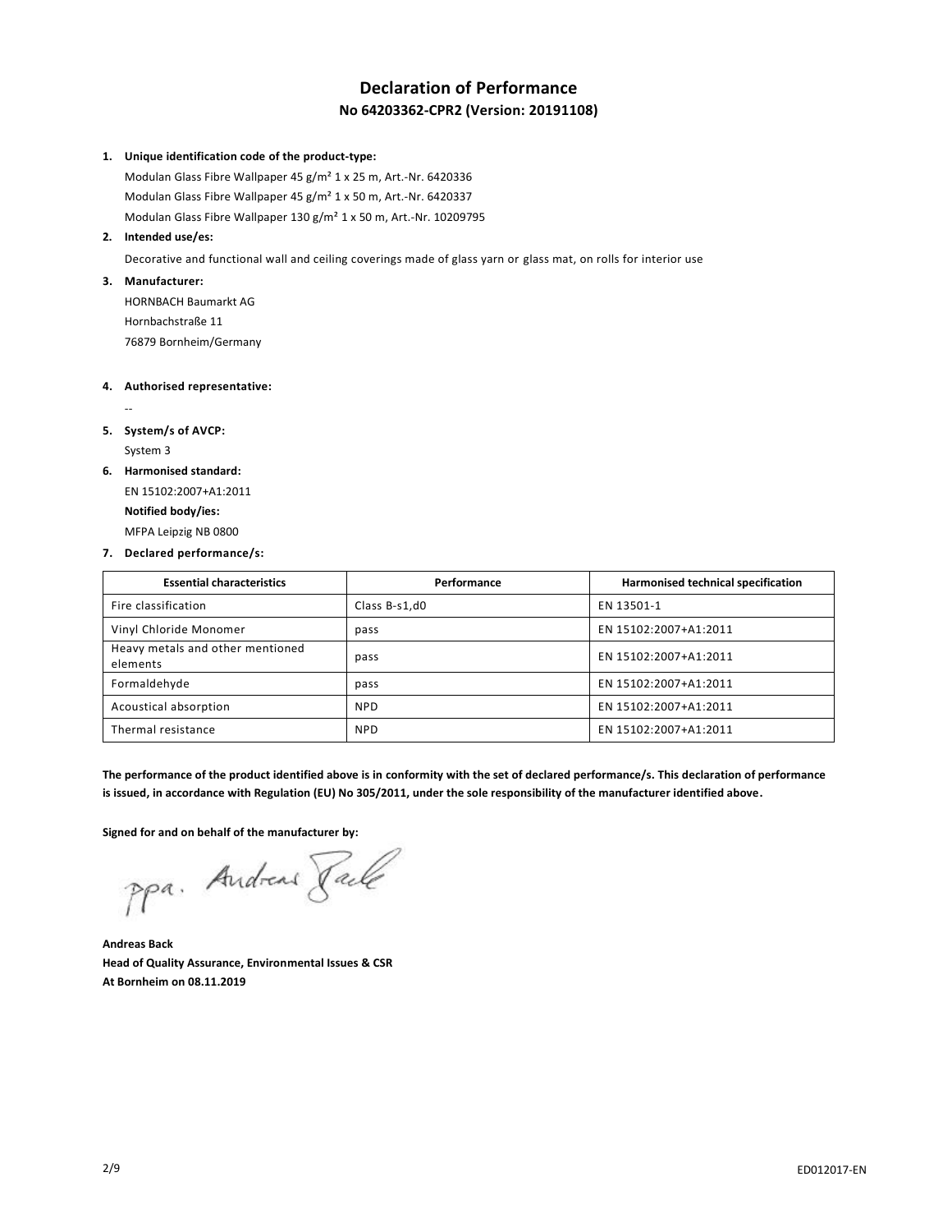# **Declaration of Performance No 64203362-CPR2 (Version: 20191108)**

#### **1. Unique identification code of the product-type:**

Modulan Glass Fibre Wallpaper 45 g/m² 1 x 25 m, Art.-Nr. 6420336 Modulan Glass Fibre Wallpaper 45 g/m² 1 x 50 m, Art.-Nr. 6420337 Modulan Glass Fibre Wallpaper 130 g/m² 1 x 50 m, Art.-Nr. 10209795

#### **2. Intended use/es:**

Decorative and functional wall and ceiling coverings made of glass yarn or glass mat, on rolls for interior use

## **3. Manufacturer:**

HORNBACH Baumarkt AG Hornbachstraße 11 76879 Bornheim/Germany

## **4. Authorised representative:**

# **5. System/s of AVCP:** System 3

--

**6. Harmonised standard:**

EN 15102:2007+A1:2011 **Notified body/ies:** MFPA Leipzig NB 0800

#### **7. Declared performance/s:**

| <b>Essential characteristics</b>             | Performance   | Harmonised technical specification |
|----------------------------------------------|---------------|------------------------------------|
| Fire classification                          | Class B-s1,d0 | EN 13501-1                         |
| Vinyl Chloride Monomer                       | pass          | EN 15102:2007+A1:2011              |
| Heavy metals and other mentioned<br>elements | pass          | EN 15102:2007+A1:2011              |
| Formaldehyde                                 | pass          | EN 15102:2007+A1:2011              |
| Acoustical absorption                        | <b>NPD</b>    | EN 15102:2007+A1:2011              |
| Thermal resistance                           | <b>NPD</b>    | EN 15102:2007+A1:2011              |

**The performance of the product identified above is in conformity with the set of declared performance/s. This declaration of performance is issued, in accordance with Regulation (EU) No 305/2011, under the sole responsibility of the manufacturer identified above.**

Signed for and on behalf of the manufacturer by:<br>Ppa. Andread *Jack* 

**Andreas Back Head of Quality Assurance, Environmental Issues & CSR At Bornheim on 08.11.2019**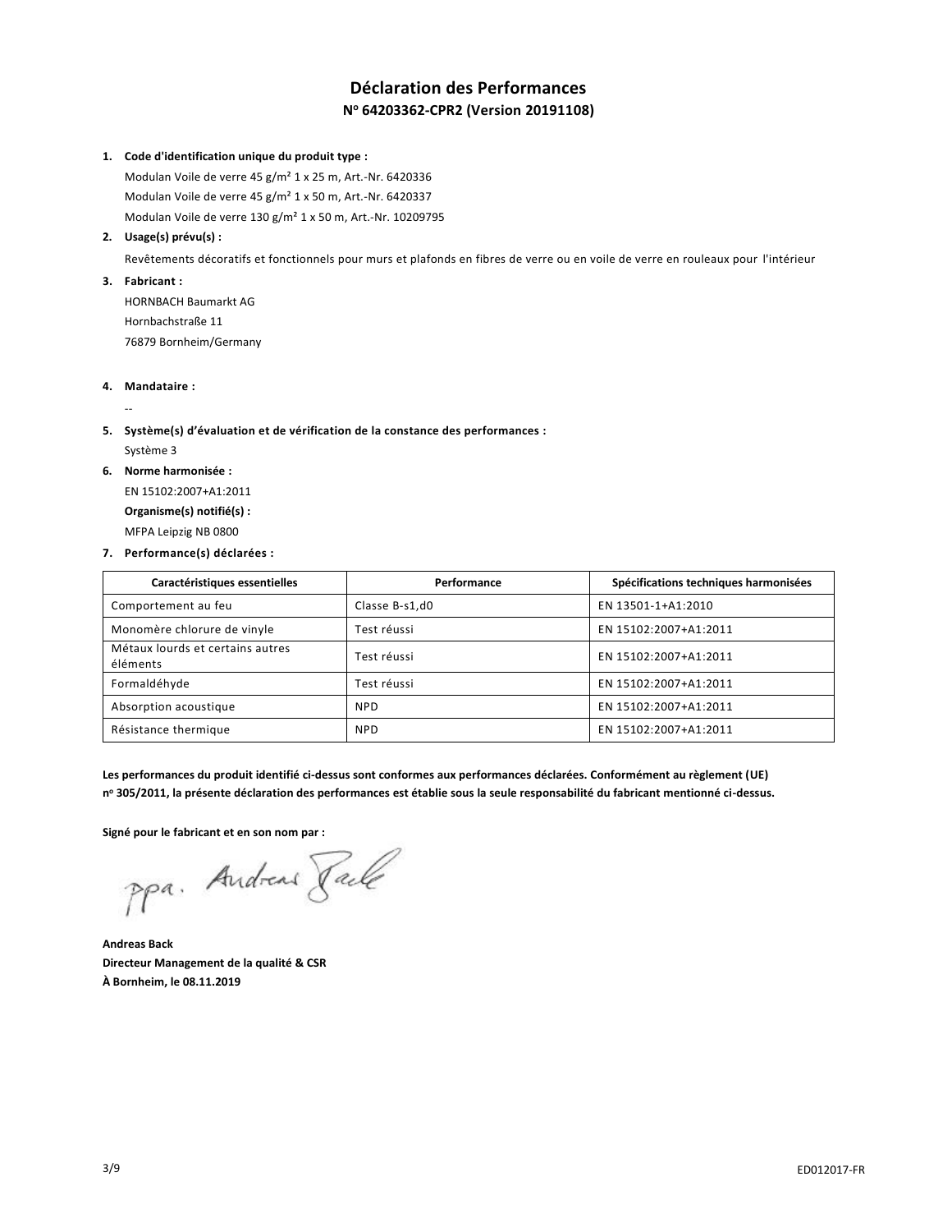# **Déclaration des Performances N <sup>o</sup> 64203362-CPR2 (Version 20191108)**

#### **1. Code d'identification unique du produit type :**

Modulan Voile de verre 45 g/m² 1 x 25 m, Art.-Nr. 6420336 Modulan Voile de verre 45 g/m² 1 x 50 m, Art.-Nr. 6420337 Modulan Voile de verre 130 g/m² 1 x 50 m, Art.-Nr. 10209795

## **2. Usage(s) prévu(s) :**

Revêtements décoratifs et fonctionnels pour murs et plafonds en fibres de verre ou en voile de verre en rouleaux pour l'intérieur

**3. Fabricant :**

HORNBACH Baumarkt AG Hornbachstraße 11 76879 Bornheim/Germany

**4. Mandataire :**

--

# **5. Système(s) d'évaluation et de vérification de la constance des performances :** Système 3

**6. Norme harmonisée :**

EN 15102:2007+A1:2011 **Organisme(s) notifié(s) :** MFPA Leipzig NB 0800

#### **7. Performance(s) déclarées :**

| Caractéristiques essentielles                | Performance    | Spécifications techniques harmonisées |
|----------------------------------------------|----------------|---------------------------------------|
| Comportement au feu                          | Classe B-s1,d0 | EN 13501-1+A1:2010                    |
| Monomère chlorure de vinyle                  | Test réussi    | EN 15102:2007+A1:2011                 |
| Métaux lourds et certains autres<br>éléments | Test réussi    | EN 15102:2007+A1:2011                 |
| Formaldéhyde                                 | Test réussi    | EN 15102:2007+A1:2011                 |
| Absorption acoustique                        | <b>NPD</b>     | EN 15102:2007+A1:2011                 |
| Résistance thermique                         | <b>NPD</b>     | EN 15102:2007+A1:2011                 |

**Les performances du produit identifié ci-dessus sont conformes aux performances déclarées. Conformément au règlement (UE) n <sup>o</sup> 305/2011, la présente déclaration des performances est établie sous la seule responsabilité du fabricant mentionné ci-dessus.**

**Signé pour le fabricant et en son nom par :**

ppa. Andread Jack

**Andreas Back Directeur Management de la qualité & CSR À Bornheim, le 08.11.2019**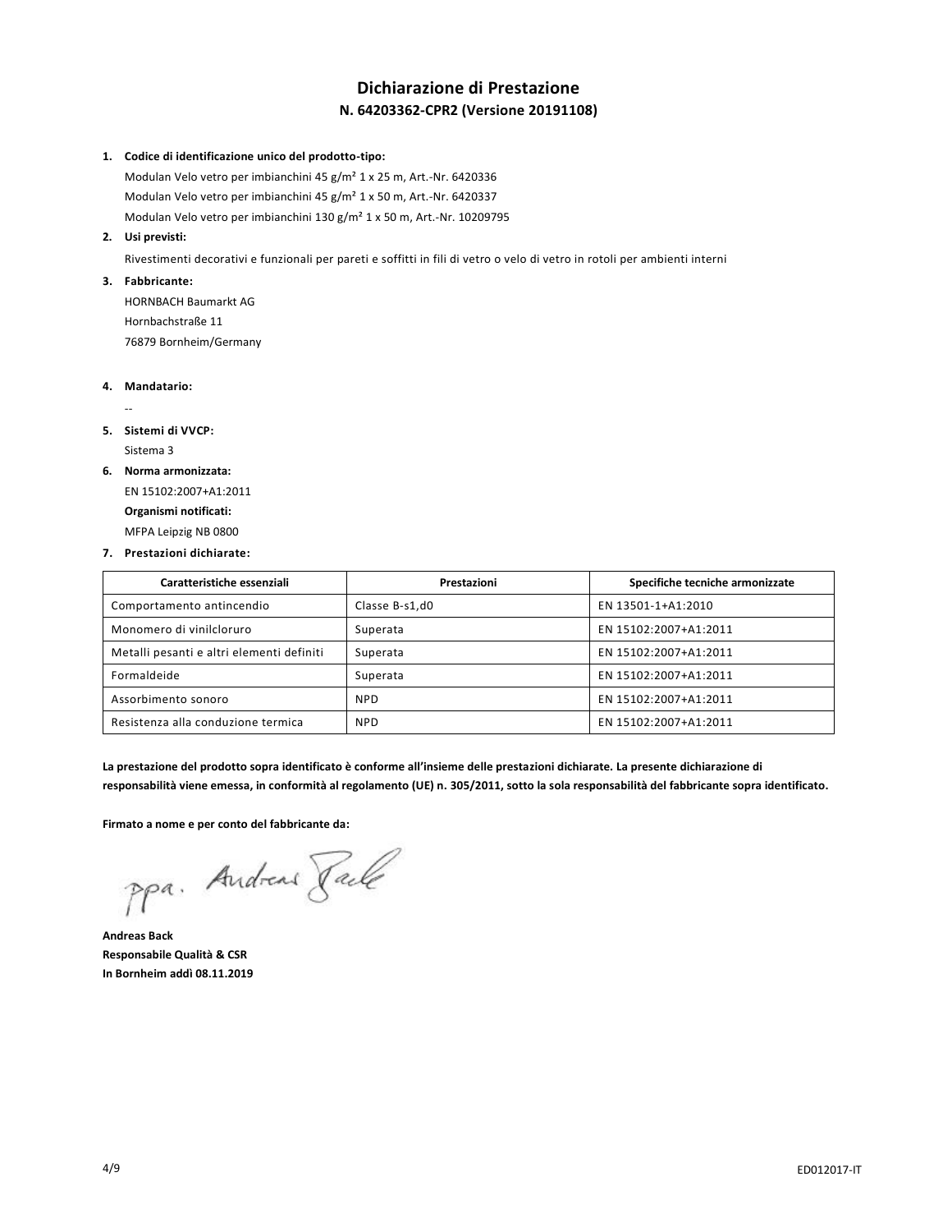# **Dichiarazione di Prestazione N. 64203362-CPR2 (Versione 20191108)**

#### **1. Codice di identificazione unico del prodotto-tipo:**

Modulan Velo vetro per imbianchini 45 g/m² 1 x 25 m, Art.-Nr. 6420336 Modulan Velo vetro per imbianchini 45 g/m² 1 x 50 m, Art.-Nr. 6420337 Modulan Velo vetro per imbianchini 130 g/m² 1 x 50 m, Art.-Nr. 10209795

#### **2. Usi previsti:**

Rivestimenti decorativi e funzionali per pareti e soffitti in fili di vetro o velo di vetro in rotoli per ambienti interni

# **3. Fabbricante:**

HORNBACH Baumarkt AG Hornbachstraße 11 76879 Bornheim/Germany

#### **4. Mandatario:**

--

# **5. Sistemi di VVCP:**

Sistema 3

# **6. Norma armonizzata:**

EN 15102:2007+A1:2011 **Organismi notificati:** MFPA Leipzig NB 0800

#### **7. Prestazioni dichiarate:**

| Caratteristiche essenziali                | Prestazioni    | Specifiche tecniche armonizzate |
|-------------------------------------------|----------------|---------------------------------|
| Comportamento antincendio                 | Classe B-s1,d0 | EN 13501-1+A1:2010              |
| Monomero di vinilcloruro                  | Superata       | EN 15102:2007+A1:2011           |
| Metalli pesanti e altri elementi definiti | Superata       | EN 15102:2007+A1:2011           |
| Formaldeide                               | Superata       | EN 15102:2007+A1:2011           |
| Assorbimento sonoro                       | <b>NPD</b>     | EN 15102:2007+A1:2011           |
| Resistenza alla conduzione termica        | <b>NPD</b>     | EN 15102:2007+A1:2011           |

**La prestazione del prodotto sopra identificato è conforme all'insieme delle prestazioni dichiarate. La presente dichiarazione di responsabilità viene emessa, in conformità al regolamento (UE) n. 305/2011, sotto la sola responsabilità del fabbricante sopra identificato.**

**Firmato a nome e per conto del fabbricante da:**

ppa. Andreas Rache

**Andreas Back Responsabile Qualità & CSR In Bornheim addì 08.11.2019**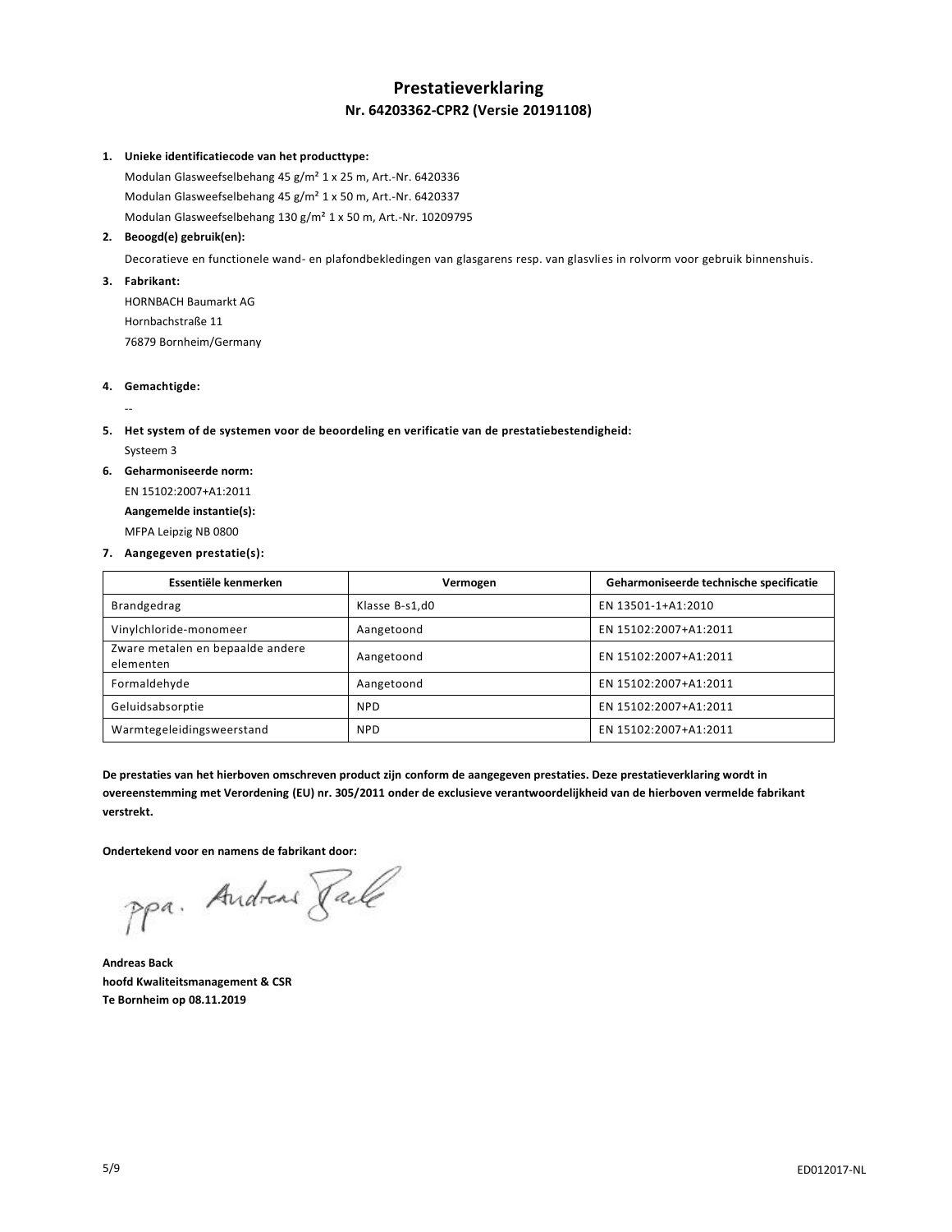# **Prestatieverklaring Nr. 64203362-CPR2 (Versie 20191108)**

#### **1. Unieke identificatiecode van het producttype:**

Modulan Glasweefselbehang 45 g/m² 1 x 25 m, Art.-Nr. 6420336 Modulan Glasweefselbehang 45 g/m² 1 x 50 m, Art.-Nr. 6420337 Modulan Glasweefselbehang 130 g/m² 1 x 50 m, Art.-Nr. 10209795

## **2. Beoogd(e) gebruik(en):**

Decoratieve en functionele wand- en plafondbekledingen van glasgarens resp. van glasvlies in rolvorm voor gebruik binnenshuis.

#### **3. Fabrikant:**

HORNBACH Baumarkt AG Hornbachstraße 11 76879 Bornheim/Germany

## **4. Gemachtigde:**

# **5. Het system of de systemen voor de beoordeling en verificatie van de prestatiebestendigheid:**

Systeem 3

--

#### **6. Geharmoniseerde norm:**

EN 15102:2007+A1:2011 **Aangemelde instantie(s):** MFPA Leipzig NB 0800

#### **7. Aangegeven prestatie(s):**

| Essentiële kenmerken                          | Vermogen       | Geharmoniseerde technische specificatie |
|-----------------------------------------------|----------------|-----------------------------------------|
| Brandgedrag                                   | Klasse B-s1,d0 | EN 13501-1+A1:2010                      |
| Vinylchloride-monomeer                        | Aangetoond     | EN 15102:2007+A1:2011                   |
| Zware metalen en bepaalde andere<br>elementen | Aangetoond     | EN 15102:2007+A1:2011                   |
| Formaldehyde                                  | Aangetoond     | EN 15102:2007+A1:2011                   |
| Geluidsabsorptie                              | <b>NPD</b>     | EN 15102:2007+A1:2011                   |
| Warmtegeleidingsweerstand                     | <b>NPD</b>     | EN 15102:2007+A1:2011                   |

**De prestaties van het hierboven omschreven product zijn conform de aangegeven prestaties. Deze prestatieverklaring wordt in overeenstemming met Verordening (EU) nr. 305/2011 onder de exclusieve verantwoordelijkheid van de hierboven vermelde fabrikant verstrekt.**

**Ondertekend voor en namens de fabrikant door:**

Ppa. Andreas Rache

**Andreas Back hoofd Kwaliteitsmanagement & CSR Te Bornheim op 08.11.2019**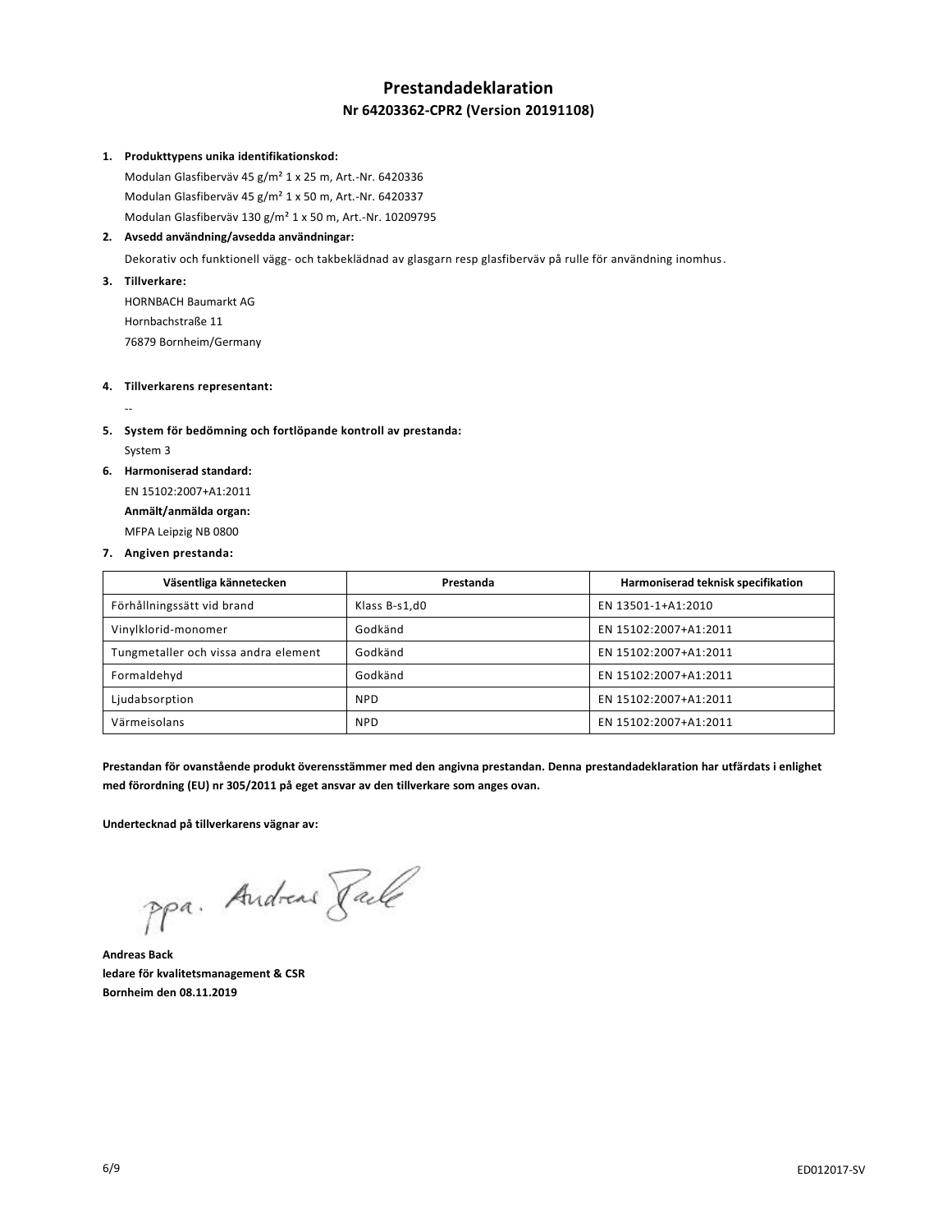# **Prestandadeklaration Nr 64203362-CPR2 (Version 20191108)**

#### **1. Produkttypens unika identifikationskod:**

Modulan Glasfiberväv 45 g/m² 1 x 25 m, Art.-Nr. 6420336 Modulan Glasfiberväv 45 g/m² 1 x 50 m, Art.-Nr. 6420337 Modulan Glasfiberväv 130 g/m² 1 x 50 m, Art.-Nr. 10209795

## **2. Avsedd användning/avsedda användningar:**

Dekorativ och funktionell vägg- och takbeklädnad av glasgarn resp glasfiberväv på rulle för användning inomhus.

**3. Tillverkare:**

--

HORNBACH Baumarkt AG Hornbachstraße 11 76879 Bornheim/Germany

## **4. Tillverkarens representant:**

- **5. System för bedömning och fortlöpande kontroll av prestanda:** System 3
- **6. Harmoniserad standard:**

EN 15102:2007+A1:2011 **Anmält/anmälda organ:** MFPA Leipzig NB 0800

#### **7. Angiven prestanda:**

| Väsentliga kännetecken               | Prestanda     | Harmoniserad teknisk specifikation |
|--------------------------------------|---------------|------------------------------------|
| Förhållningssätt vid brand           | Klass B-s1,d0 | EN 13501-1+A1:2010                 |
| Vinylklorid-monomer                  | Godkänd       | EN 15102:2007+A1:2011              |
| Tungmetaller och vissa andra element | Godkänd       | EN 15102:2007+A1:2011              |
| Formaldehyd                          | Godkänd       | EN 15102:2007+A1:2011              |
| Ljudabsorption                       | <b>NPD</b>    | EN 15102:2007+A1:2011              |
| Värmeisolans                         | <b>NPD</b>    | EN 15102:2007+A1:2011              |

**Prestandan för ovanstående produkt överensstämmer med den angivna prestandan. Denna prestandadeklaration har utfärdats i enlighet med förordning (EU) nr 305/2011 på eget ansvar av den tillverkare som anges ovan.**

**Undertecknad på tillverkarens vägnar av:**

ppa. Andreas Rale

**Andreas Back ledare för kvalitetsmanagement & CSR Bornheim den 08.11.2019**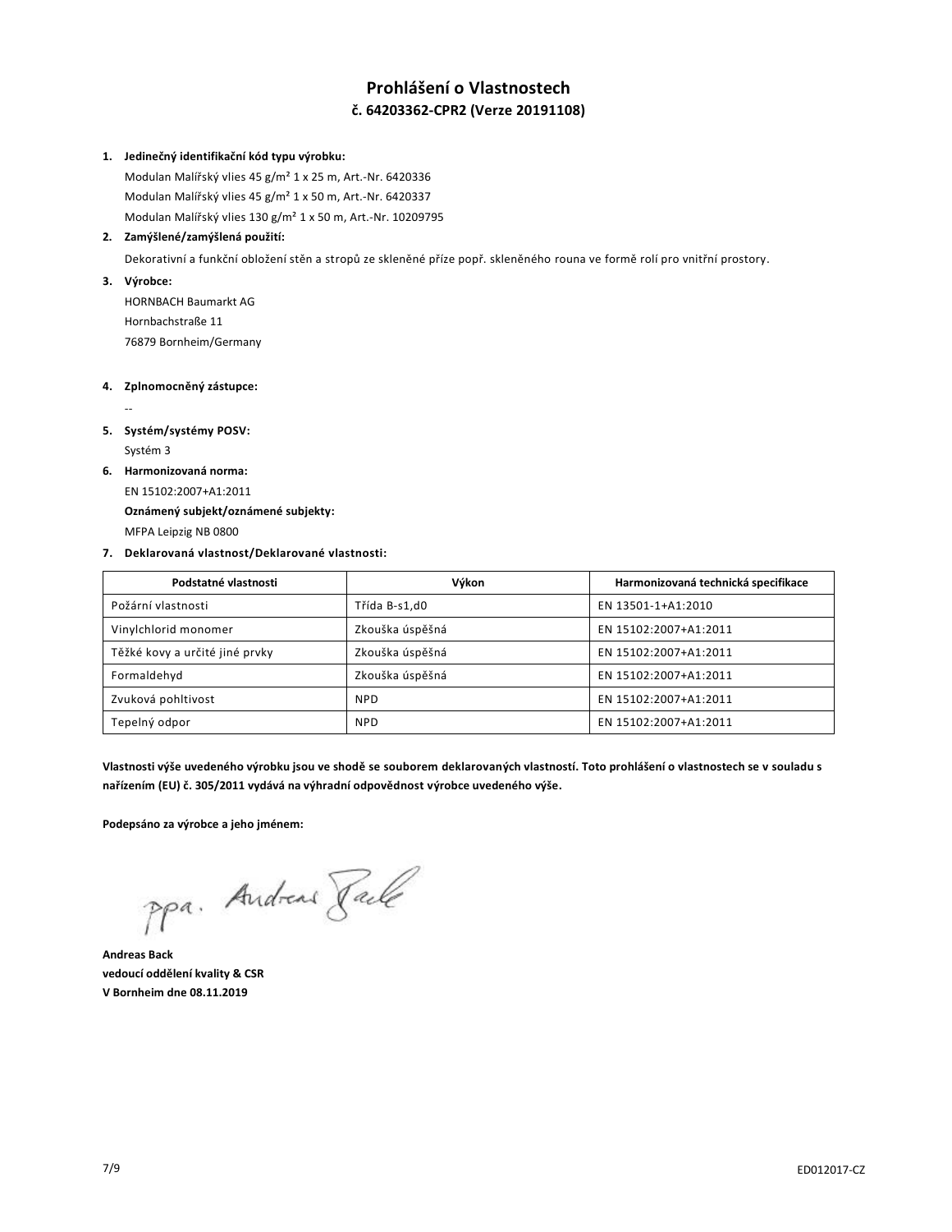# **Prohlášení o Vlastnostech č. 64203362-CPR2 (Verze 20191108)**

#### **1. Jedinečný identifikační kód typu výrobku:**

Modulan Malířský vlies 45 g/m² 1 x 25 m, Art.-Nr. 6420336 Modulan Malířský vlies 45 g/m² 1 x 50 m, Art.-Nr. 6420337 Modulan Malířský vlies 130 g/m² 1 x 50 m, Art.-Nr. 10209795

## **2. Zamýšlené/zamýšlená použití:**

Dekorativní a funkční obložení stěn a stropů ze skleněné příze popř. skleněného rouna ve formě rolí pro vnitřní prostory.

**3. Výrobce:**

HORNBACH Baumarkt AG Hornbachstraße 11 76879 Bornheim/Germany

## **4. Zplnomocněný zástupce:**

# **5. Systém/systémy POSV:**

Systém 3

--

**6. Harmonizovaná norma:**

EN 15102:2007+A1:2011 **Oznámený subjekt/oznámené subjekty:**

MFPA Leipzig NB 0800

# **7. Deklarovaná vlastnost/Deklarované vlastnosti:**

| Podstatné vlastnosti           | Výkon           | Harmonizovaná technická specifikace |
|--------------------------------|-----------------|-------------------------------------|
| Požární vlastnosti             | Třída B-s1,d0   | EN 13501-1+A1:2010                  |
| Vinylchlorid monomer           | Zkouška úspěšná | EN 15102:2007+A1:2011               |
| Těžké kovy a určité jiné prvky | Zkouška úspěšná | EN 15102:2007+A1:2011               |
| Formaldehyd                    | Zkouška úspěšná | EN 15102:2007+A1:2011               |
| Zvuková pohltivost             | <b>NPD</b>      | EN 15102:2007+A1:2011               |
| Tepelný odpor                  | <b>NPD</b>      | EN 15102:2007+A1:2011               |

**Vlastnosti výše uvedeného výrobku jsou ve shodě se souborem deklarovaných vlastností. Toto prohlášení o vlastnostech se v souladu s nařízením (EU) č. 305/2011 vydává na výhradní odpovědnost výrobce uvedeného výše.**

**Podepsáno za výrobce a jeho jménem:**

ppa. Andreas Rale

**Andreas Back vedoucí oddělení kvality & CSR V Bornheim dne 08.11.2019**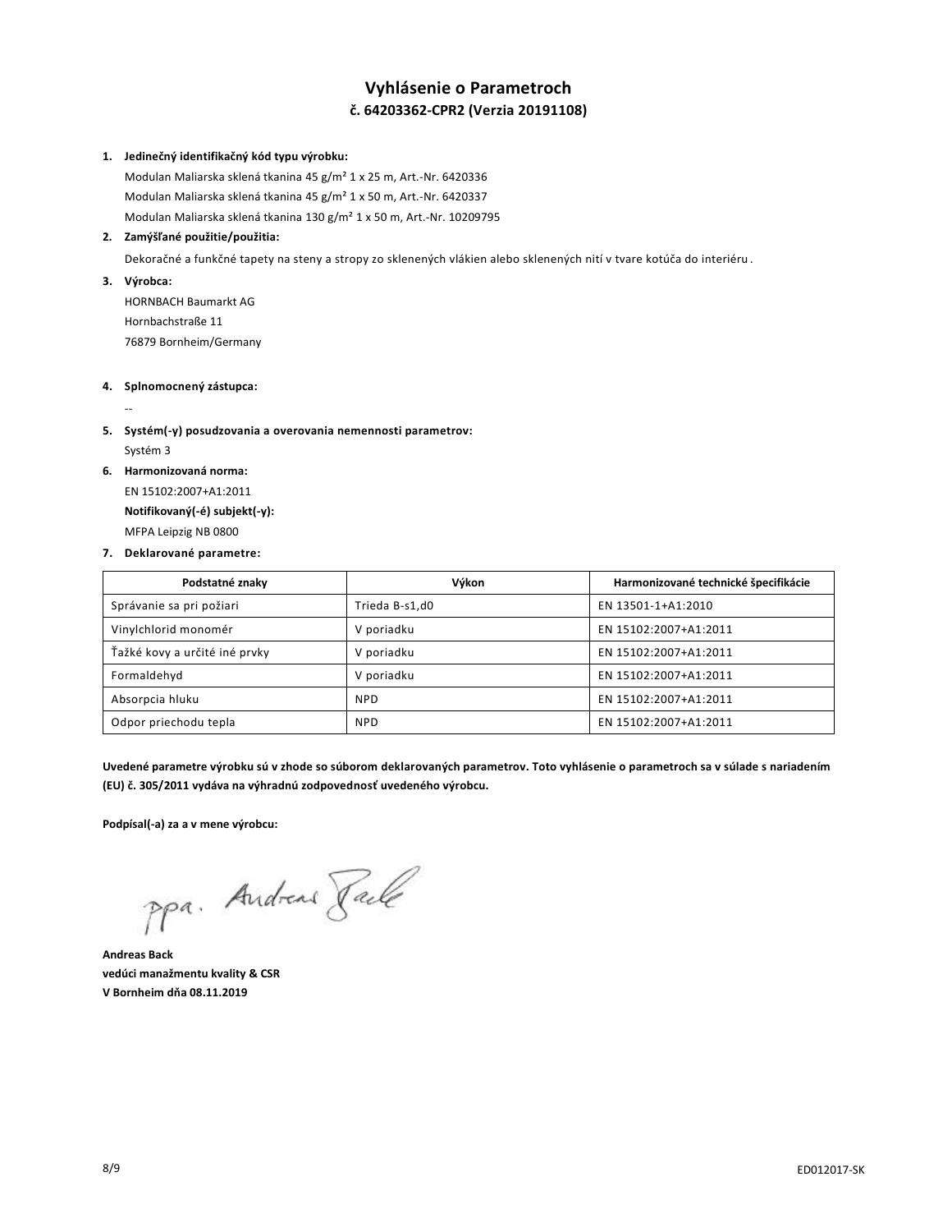# **Vyhlásenie o Parametroch č. 64203362-CPR2 (Verzia 20191108)**

#### **1. Jedinečný identifikačný kód typu výrobku:**

Modulan Maliarska sklená tkanina 45 g/m² 1 x 25 m, Art.-Nr. 6420336 Modulan Maliarska sklená tkanina 45 g/m² 1 x 50 m, Art.-Nr. 6420337 Modulan Maliarska sklená tkanina 130 g/m² 1 x 50 m, Art.-Nr. 10209795

#### **2. Zamýšľané použitie/použitia:**

Dekoračné a funkčné tapety na steny a stropy zo sklenených vlákien alebo sklenených nití v tvare kotúča do interiéru .

# **3. Výrobca:**

--

HORNBACH Baumarkt AG Hornbachstraße 11 76879 Bornheim/Germany

# **4. Splnomocnený zástupca:**

- **5. Systém(-y) posudzovania a overovania nemennosti parametrov:** Systém 3
- **6. Harmonizovaná norma:**

EN 15102:2007+A1:2011 **Notifikovaný(-é) subjekt(-y):** MFPA Leipzig NB 0800

#### **7. Deklarované parametre:**

| Podstatné znaky               | Výkon          | Harmonizované technické špecifikácie |
|-------------------------------|----------------|--------------------------------------|
| Správanie sa pri požiari      | Trieda B-s1,d0 | EN 13501-1+A1:2010                   |
| Vinylchlorid monomér          | V poriadku     | EN 15102:2007+A1:2011                |
| Ťažké kovy a určité iné prvky | V poriadku     | EN 15102:2007+A1:2011                |
| Formaldehyd                   | V poriadku     | EN 15102:2007+A1:2011                |
| Absorpcia hluku               | <b>NPD</b>     | EN 15102:2007+A1:2011                |
| Odpor priechodu tepla         | <b>NPD</b>     | EN 15102:2007+A1:2011                |

**Uvedené parametre výrobku sú v zhode so súborom deklarovaných parametrov. Toto vyhlásenie o parametroch sa v súlade s nariadením (EU) č. 305/2011 vydáva na výhradnú zodpovednosť uvedeného výrobcu.**

**Podpísal(-a) za a v mene výrobcu:**

ppa. Andreas Rale

**Andreas Back vedúci manažmentu kvality & CSR V Bornheim dňa 08.11.2019**